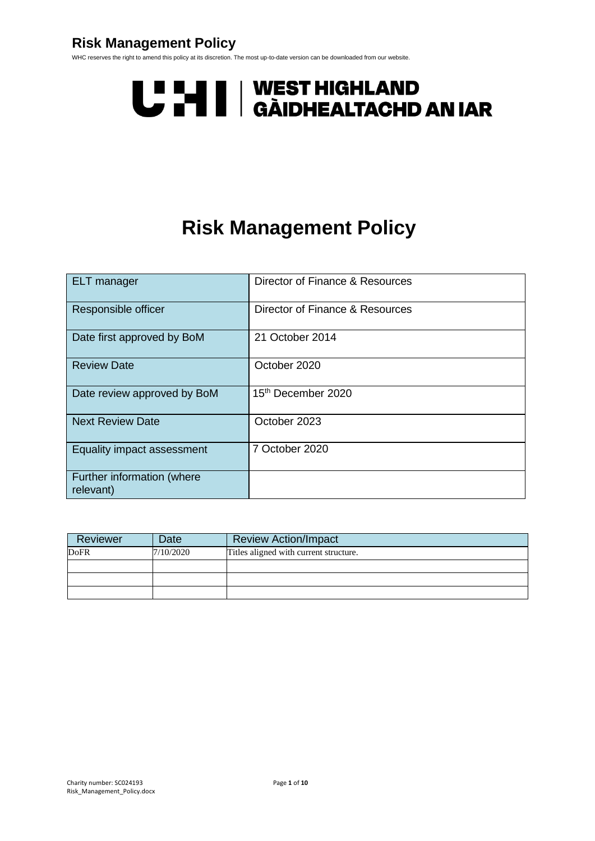## **Risk Management Policy**

WHC reserves the right to amend this policy at its discretion. The most up-to-date version can be downloaded from our website.

# U LI | WEST HIGHLAND<br>U LI | GÀIDHEALTACHD AN IAR

## **Risk Management Policy**

| <b>ELT</b> manager                      | Director of Finance & Resources |
|-----------------------------------------|---------------------------------|
| Responsible officer                     | Director of Finance & Resources |
| Date first approved by BoM              | 21 October 2014                 |
| <b>Review Date</b>                      | October 2020                    |
| Date review approved by BoM             | 15 <sup>th</sup> December 2020  |
| <b>Next Review Date</b>                 | October 2023                    |
| Equality impact assessment              | 7 October 2020                  |
| Further information (where<br>relevant) |                                 |

| Reviewer    | Date      | <b>Review Action/Impact</b>            |
|-------------|-----------|----------------------------------------|
| <b>DoFR</b> | 7/10/2020 | Titles aligned with current structure. |
|             |           |                                        |
|             |           |                                        |
|             |           |                                        |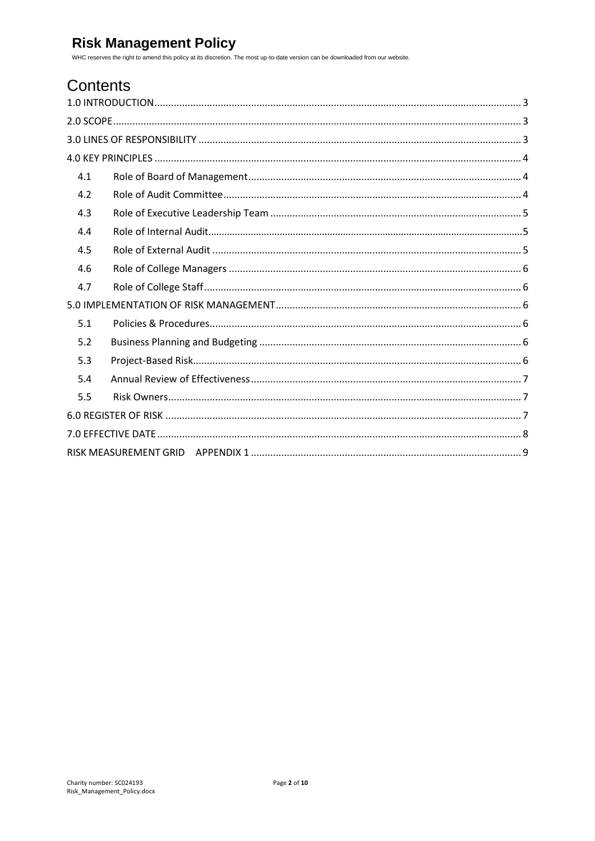## Contents

| 4.1 |
|-----|
| 4.2 |
| 4.3 |
| 4.4 |
| 4.5 |
| 4.6 |
| 4.7 |
|     |
| 5.1 |
| 5.2 |
| 5.3 |
| 5.4 |
| 5.5 |
|     |
|     |
|     |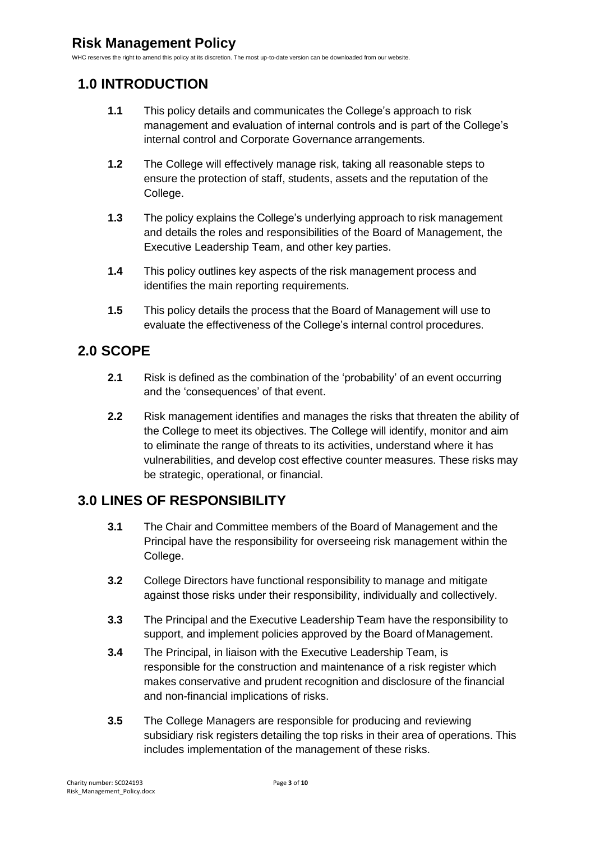## <span id="page-2-0"></span>**1.0 INTRODUCTION**

- **1.1** This policy details and communicates the College's approach to risk management and evaluation of internal controls and is part of the College's internal control and Corporate Governance arrangements.
- **1.2** The College will effectively manage risk, taking all reasonable steps to ensure the protection of staff, students, assets and the reputation of the College.
- **1.3** The policy explains the College's underlying approach to risk management and details the roles and responsibilities of the Board of Management, the Executive Leadership Team, and other key parties.
- **1.4** This policy outlines key aspects of the risk management process and identifies the main reporting requirements.
- **1.5** This policy details the process that the Board of Management will use to evaluate the effectiveness of the College's internal control procedures.

## <span id="page-2-1"></span>**2.0 SCOPE**

- **2.1** Risk is defined as the combination of the 'probability' of an event occurring and the 'consequences' of that event.
- **2.2** Risk management identifies and manages the risks that threaten the ability of the College to meet its objectives. The College will identify, monitor and aim to eliminate the range of threats to its activities, understand where it has vulnerabilities, and develop cost effective counter measures. These risks may be strategic, operational, or financial.

## <span id="page-2-2"></span>**3.0 LINES OF RESPONSIBILITY**

- **3.1** The Chair and Committee members of the Board of Management and the Principal have the responsibility for overseeing risk management within the College.
- **3.2** College Directors have functional responsibility to manage and mitigate against those risks under their responsibility, individually and collectively.
- **3.3** The Principal and the Executive Leadership Team have the responsibility to support, and implement policies approved by the Board of Management.
- **3.4** The Principal, in liaison with the Executive Leadership Team, is responsible for the construction and maintenance of a risk register which makes conservative and prudent recognition and disclosure of the financial and non-financial implications of risks.
- **3.5** The College Managers are responsible for producing and reviewing subsidiary risk registers detailing the top risks in their area of operations. This includes implementation of the management of these risks.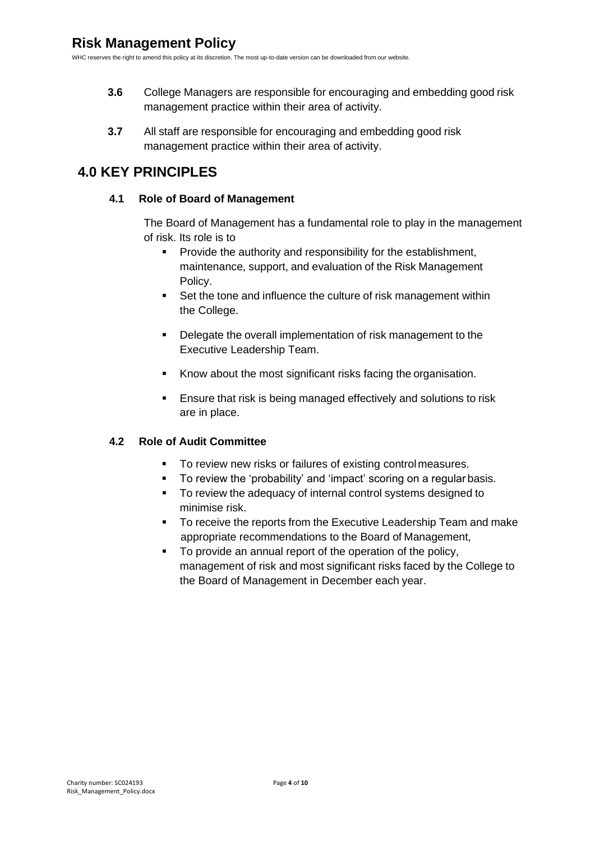- **3.6** College Managers are responsible for encouraging and embedding good risk management practice within their area of activity.
- **3.7** All staff are responsible for encouraging and embedding good risk management practice within their area of activity.

## <span id="page-3-1"></span><span id="page-3-0"></span>**4.0 KEY PRINCIPLES**

#### **4.1 Role of Board of Management**

The Board of Management has a fundamental role to play in the management of risk. Its role is to

- **•** Provide the authority and responsibility for the establishment, maintenance, support, and evaluation of the Risk Management Policy.
- Set the tone and influence the culture of risk management within the College.
- Delegate the overall implementation of risk management to the Executive Leadership Team.
- Know about the most significant risks facing the organisation.
- **Ensure that risk is being managed effectively and solutions to risk** are in place.

#### <span id="page-3-2"></span>**4.2 Role of Audit Committee**

- To review new risks or failures of existing control measures.
- To review the 'probability' and 'impact' scoring on a regular basis.
- To review the adequacy of internal control systems designed to minimise risk.
- To receive the reports from the Executive Leadership Team and make appropriate recommendations to the Board of Management,
- To provide an annual report of the operation of the policy, management of risk and most significant risks faced by the College to the Board of Management in December each year.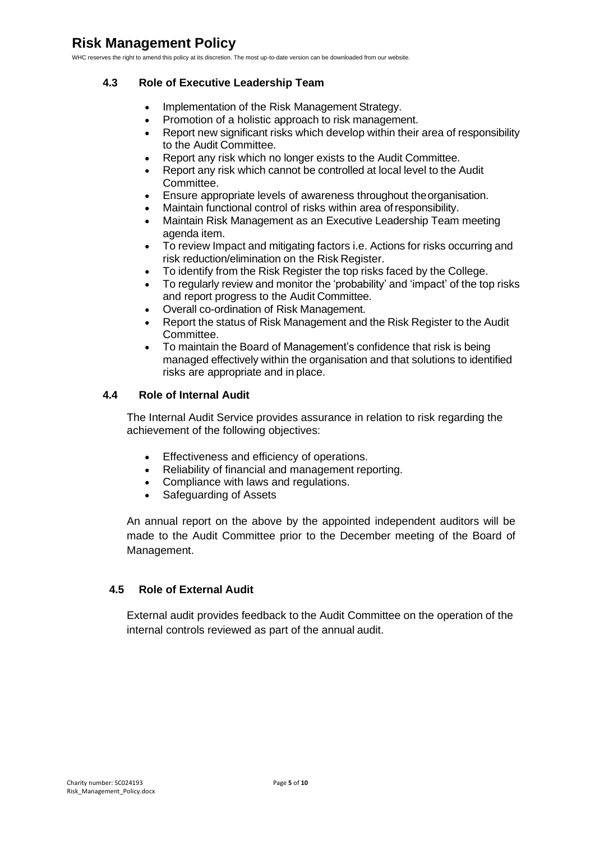#### <span id="page-4-0"></span>**4.3 Role of Executive Leadership Team**

- Implementation of the Risk Management Strategy.
- Promotion of a holistic approach to risk management.
- Report new significant risks which develop within their area of responsibility to the Audit Committee.
- Report any risk which no longer exists to the Audit Committee.
- Report any risk which cannot be controlled at local level to the Audit Committee.
- Ensure appropriate levels of awareness throughout theorganisation.
- Maintain functional control of risks within area ofresponsibility.
- Maintain Risk Management as an Executive Leadership Team meeting agenda item.
- To review Impact and mitigating factors i.e. Actions for risks occurring and risk reduction/elimination on the Risk Register.
- To identify from the Risk Register the top risks faced by the College.
- To regularly review and monitor the 'probability' and 'impact' of the top risks and report progress to the Audit Committee.
- Overall co-ordination of Risk Management.
- Report the status of Risk Management and the Risk Register to the Audit Committee.
- To maintain the Board of Management's confidence that risk is being managed effectively within the organisation and that solutions to identified risks are appropriate and in place.

#### <span id="page-4-1"></span>**4.4 Role of Internal Audit**

The Internal Audit Service provides assurance in relation to risk regarding the achievement of the following objectives:

- Effectiveness and efficiency of operations.
- Reliability of financial and management reporting.
- Compliance with laws and regulations.
- Safeguarding of Assets

An annual report on the above by the appointed independent auditors will be made to the Audit Committee prior to the December meeting of the Board of Management.

#### <span id="page-4-2"></span>**4.5 Role of External Audit**

External audit provides feedback to the Audit Committee on the operation of the internal controls reviewed as part of the annual audit.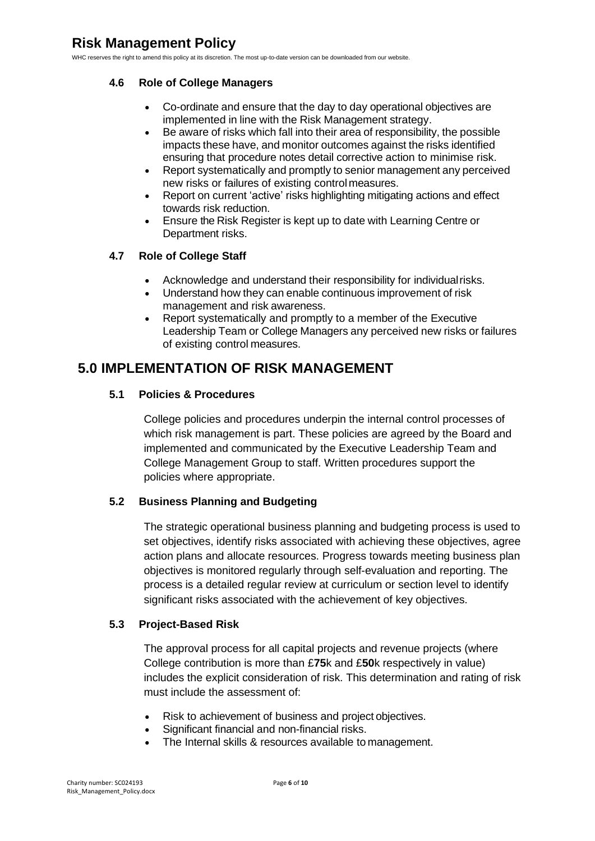#### <span id="page-5-0"></span>**4.6 Role of College Managers**

- Co-ordinate and ensure that the day to day operational objectives are implemented in line with the Risk Management strategy.
- Be aware of risks which fall into their area of responsibility, the possible impacts these have, and monitor outcomes against the risks identified ensuring that procedure notes detail corrective action to minimise risk.
- Report systematically and promptly to senior management any perceived new risks or failures of existing controlmeasures.
- Report on current 'active' risks highlighting mitigating actions and effect towards risk reduction.
- Ensure the Risk Register is kept up to date with Learning Centre or Department risks.

#### <span id="page-5-1"></span>**4.7 Role of College Staff**

- Acknowledge and understand their responsibility for individualrisks.
- Understand how they can enable continuous improvement of risk management and risk awareness.
- Report systematically and promptly to a member of the Executive Leadership Team or College Managers any perceived new risks or failures of existing control measures.

### <span id="page-5-3"></span><span id="page-5-2"></span>**5.0 IMPLEMENTATION OF RISK MANAGEMENT**

#### **5.1 Policies & Procedures**

College policies and procedures underpin the internal control processes of which risk management is part. These policies are agreed by the Board and implemented and communicated by the Executive Leadership Team and College Management Group to staff. Written procedures support the policies where appropriate.

#### <span id="page-5-4"></span>**5.2 Business Planning and Budgeting**

The strategic operational business planning and budgeting process is used to set objectives, identify risks associated with achieving these objectives, agree action plans and allocate resources. Progress towards meeting business plan objectives is monitored regularly through self-evaluation and reporting. The process is a detailed regular review at curriculum or section level to identify significant risks associated with the achievement of key objectives.

#### <span id="page-5-5"></span>**5.3 Project-Based Risk**

The approval process for all capital projects and revenue projects (where College contribution is more than £**75**k and £**50**k respectively in value) includes the explicit consideration of risk. This determination and rating of risk must include the assessment of:

- Risk to achievement of business and project objectives.
- Significant financial and non-financial risks.
- The Internal skills & resources available to management.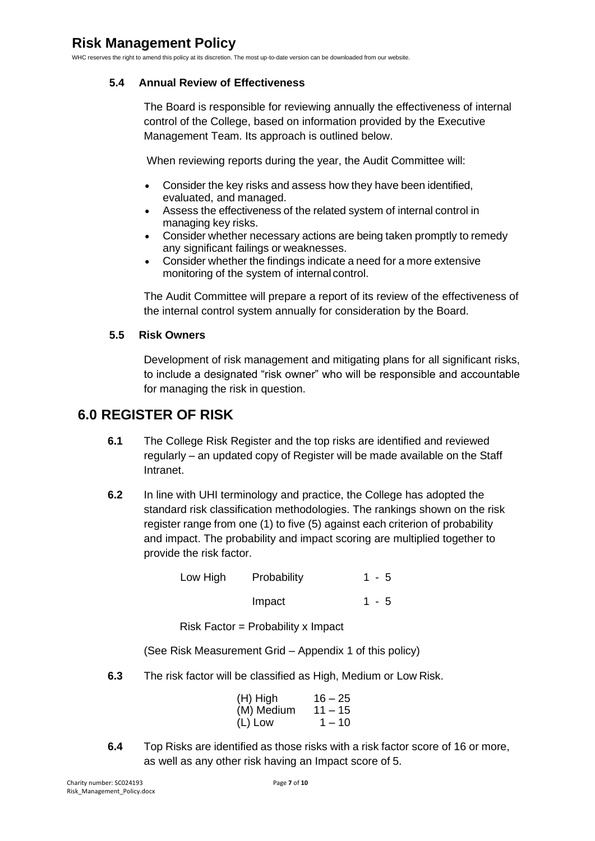#### <span id="page-6-0"></span>**5.4 Annual Review of Effectiveness**

The Board is responsible for reviewing annually the effectiveness of internal control of the College, based on information provided by the Executive Management Team. Its approach is outlined below.

When reviewing reports during the year, the Audit Committee will:

- Consider the key risks and assess how they have been identified, evaluated, and managed.
- Assess the effectiveness of the related system of internal control in managing key risks.
- Consider whether necessary actions are being taken promptly to remedy any significant failings or weaknesses.
- Consider whether the findings indicate a need for a more extensive monitoring of the system of internal control.

The Audit Committee will prepare a report of its review of the effectiveness of the internal control system annually for consideration by the Board.

#### <span id="page-6-1"></span>**5.5 Risk Owners**

Development of risk management and mitigating plans for all significant risks, to include a designated "risk owner" who will be responsible and accountable for managing the risk in question.

### <span id="page-6-2"></span>**6.0 REGISTER OF RISK**

- **6.1** The College Risk Register and the top risks are identified and reviewed regularly – an updated copy of Register will be made available on the Staff Intranet.
- **6.2** In line with UHI terminology and practice, the College has adopted the standard risk classification methodologies. The rankings shown on the risk register range from one (1) to five (5) against each criterion of probability and impact. The probability and impact scoring are multiplied together to provide the risk factor.

Low High Probability 1 - 5 Impact 1 - 5

Risk Factor = Probability x Impact

(See Risk Measurement Grid – Appendix 1 of this policy)

**6.3** The risk factor will be classified as High, Medium or Low Risk.

| (H) High   | $16 - 25$ |
|------------|-----------|
| (M) Medium | $11 - 15$ |
| (L) Low    | $1 - 10$  |

**6.4** Top Risks are identified as those risks with a risk factor score of 16 or more, as well as any other risk having an Impact score of 5.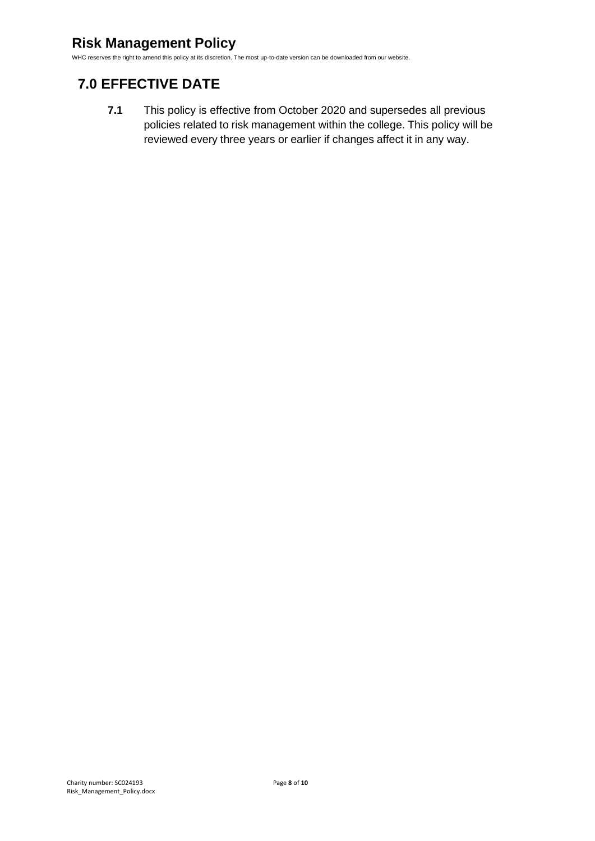## **Risk Management Policy**

WHC reserves the right to amend this policy at its discretion. The most up-to-date version can be downloaded from our website.

## <span id="page-7-0"></span>**7.0 EFFECTIVE DATE**

**7.1** This policy is effective from October 2020 and supersedes all previous policies related to risk management within the college. This policy will be reviewed every three years or earlier if changes affect it in any way.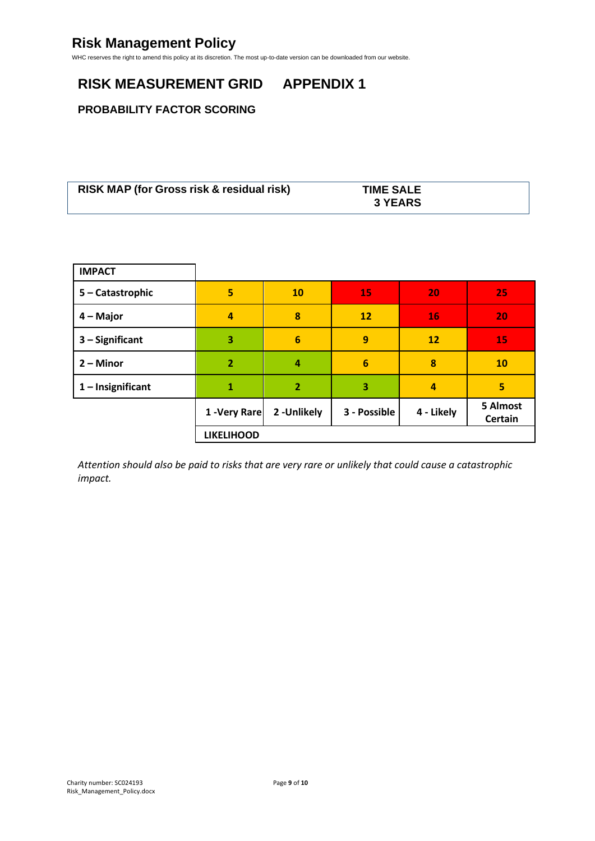## <span id="page-8-0"></span>**RISK MEASUREMENT GRID APPENDIX 1**

#### **PROBABILITY FACTOR SCORING**

| <b>RISK MAP (for Gross risk &amp; residual risk)</b> | <b>TIME SALE</b> |  |
|------------------------------------------------------|------------------|--|
|                                                      | <b>3 YEARS</b>   |  |

| <b>IMPACT</b>       |                   |                 |                 |            |                     |
|---------------------|-------------------|-----------------|-----------------|------------|---------------------|
| 5 - Catastrophic    | 5                 | <b>10</b>       | 15              | 20         | 25                  |
| 4 – Major           | 4                 | 8               | 12              | 16         | 20                  |
| $3 -$ Significant   | 3                 | $6\phantom{1}6$ | 9               | 12         | 15                  |
| $2 -$ Minor         | $\overline{2}$    | 4               | $6\phantom{1}6$ | 8          | 10                  |
| $1$ – Insignificant | 1                 | $\overline{2}$  | 3               | 4          | 5                   |
|                     | 1 - Very Rare     | 2-Unlikely      | 3 - Possible    | 4 - Likely | 5 Almost<br>Certain |
|                     | <b>LIKELIHOOD</b> |                 |                 |            |                     |

*Attention should also be paid to risks that are very rare or unlikely that could cause a catastrophic impact.*